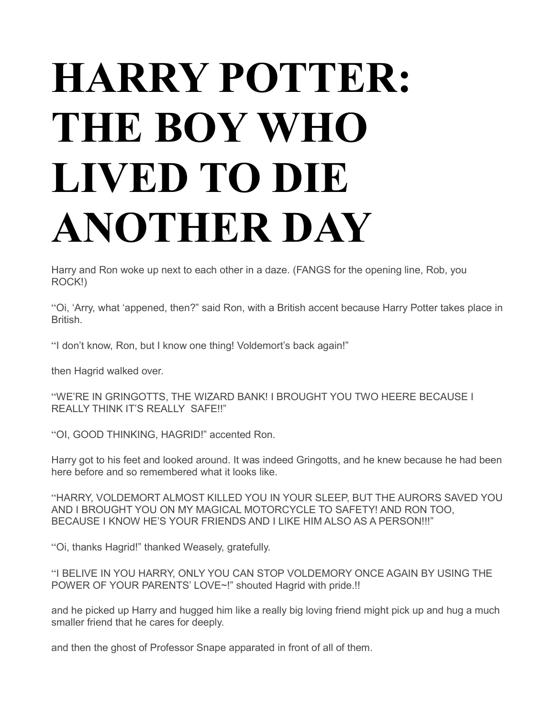## **HARRY POTTER: THE BOY WHO LIVED TO DIE ANOTHER DAY**

Harry and Ron woke up next to each other in a daze. (FANGS for the opening line, Rob, you ROCK!)

"Oi, 'Arry, what 'appened, then?" said Ron, with a British accent because Harry Potter takes place in British.

"I don't know, Ron, but I know one thing! Voldemort's back again!"

then Hagrid walked over.

"WE'RE IN GRINGOTTS, THE WIZARD BANK! I BROUGHT YOU TWO HEERE BECAUSE I REALLY THINK IT'S REALLY SAFE!!"

"OI, GOOD THINKING, HAGRID!" accented Ron.

Harry got to his feet and looked around. It was indeed Gringotts, and he knew because he had been here before and so remembered what it looks like.

"HARRY, VOLDEMORT ALMOST KILLED YOU IN YOUR SLEEP, BUT THE AURORS SAVED YOU AND I BROUGHT YOU ON MY MAGICAL MOTORCYCLE TO SAFETY! AND RON TOO, BECAUSE I KNOW HE'S YOUR FRIENDS AND I LIKE HIM ALSO AS A PERSON!!!"

"Oi, thanks Hagrid!" thanked Weasely, gratefully.

| "I BELIVE IN YOU HARRY, ONLY YOU CAN STOP VOLDEMORY ONCE AGAIN BY USING THE |
|-----------------------------------------------------------------------------|
| POWER OF YOUR PARENTS' LOVE~!" shouted Hagrid with pride.!!                 |

and he picked up Harry and hugged him like a really big loving friend might pick up and hug a much smaller friend that he cares for deeply.

and then the ghost of Professor Snape apparated in front of all of them.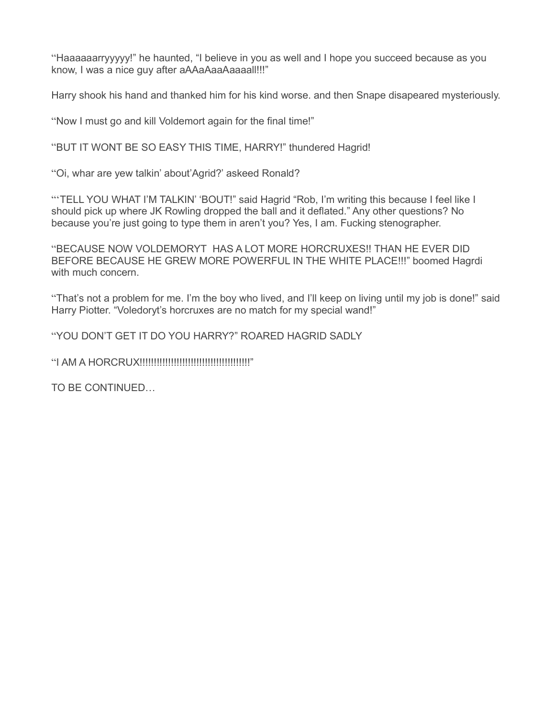"Haaaaaarryyyyy!" he haunted, "I believe in you as well and I hope you succeed because as you know, I was a nice guy after aAAaAaaAaaaall!!!"

Harry shook his hand and thanked him for his kind worse. and then Snape disapeared mysteriously.

"Now I must go and kill Voldemort again for the final time!"

"BUT IT WONT BE SO EASY THIS TIME, HARRY!" thundered Hagrid!

"Oi, whar are yew talkin' about'Agrid?' askeed Ronald?

"TELL YOU WHAT I'M TALKIN' 'BOUT!" said Hagrid "Rob, I'm writing this because I feel like I should pick up where JK Rowling dropped the ball and it deflated." Any other questions? No because you're just going to type them in aren't you? Yes, I am. Fucking stenographer.

"BECAUSE NOW VOLDEMORYT HAS A LOT MORE HORCRUXES!! THAN HE EVER DID BEFORE BECAUSE HE GREW MORE POWERFUL IN THE WHITE PLACE!!!" boomed Hagrdi with much concern.

"That's not a problem for me. I'm the boy who lived, and I'll keep on living until my job is done!" said Harry Piotter. "Voledoryt's horcruxes are no match for my special wand!"

"YOU DON'T GET IT DO YOU HARRY?" ROARED HAGRID SADLY

"I AM A HORCRUX!!!!!!!!!!!!!!!!!!!!!!!!!!!!!!!!!!!!!!!"

TO BE CONTINUED…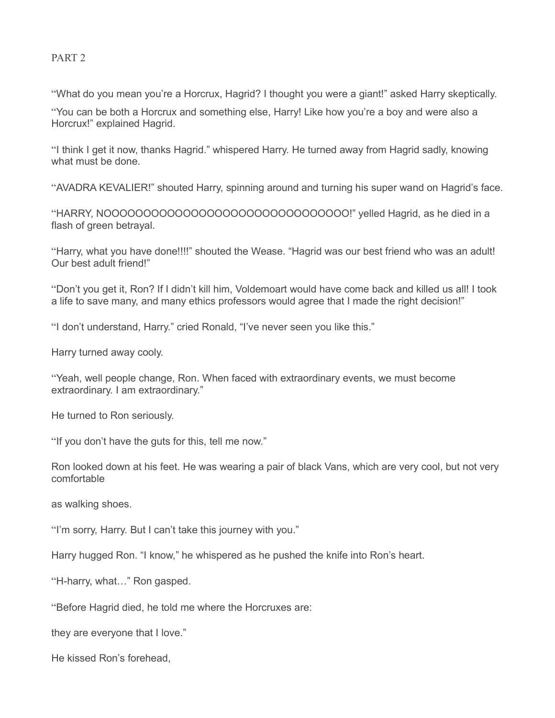## PART 2

"What do you mean you're a Horcrux, Hagrid? I thought you were a giant!" asked Harry skeptically.

"You can be both a Horcrux and something else, Harry! Like how you're a boy and were also a Horcrux!" explained Hagrid.

"I think I get it now, thanks Hagrid." whispered Harry. He turned away from Hagrid sadly, knowing what must be done.

"AVADRA KEVALIER!" shouted Harry, spinning around and turning his super wand on Hagrid's face.

"HARRY, NOOOOOOOOOOOOOOOOOOOOOOOOOOOOOOO!" yelled Hagrid, as he died in a flash of green betrayal.

"Harry, what you have done!!!!" shouted the Wease. "Hagrid was our best friend who was an adult! Our best adult friend!"

"Don't you get it, Ron? If I didn't kill him, Voldemoart would have come back and killed us all! I took a life to save many, and many ethics professors would agree that I made the right decision!"

"I don't understand, Harry." cried Ronald, "I've never seen you like this."

Harry turned away cooly.

"Yeah, well people change, Ron. When faced with extraordinary events, we must become extraordinary. I am extraordinary."

He turned to Ron seriously.

"If you don't have the guts for this, tell me now."

Ron looked down at his feet. He was wearing a pair of black Vans, which are very cool, but not very comfortable

as walking shoes.

"I'm sorry, Harry. But I can't take this journey with you."

Harry hugged Ron. "I know," he whispered as he pushed the knife into Ron's heart.

"H-harry, what…" Ron gasped.

"Before Hagrid died, he told me where the Horcruxes are:

they are everyone that I love."

He kissed Ron's forehead,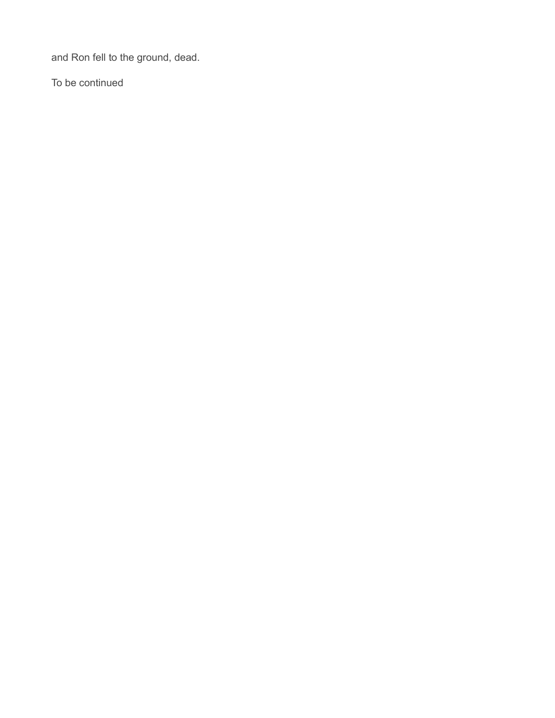and Ron fell to the ground, dead.

To be continued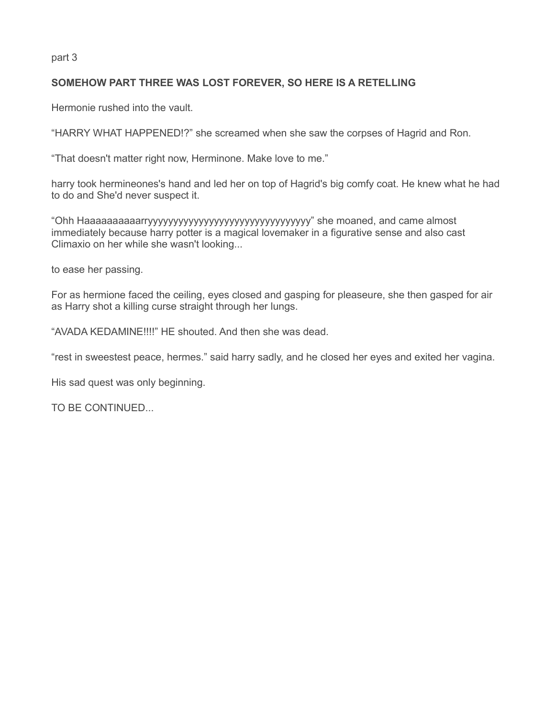part 3

## **SOMEHOW PART THREE WAS LOST FOREVER, SO HERE IS A RETELLING**

Hermonie rushed into the vault.

"HARRY WHAT HAPPENED!?" she screamed when she saw the corpses of Hagrid and Ron.

"That doesn't matter right now, Herminone. Make love to me."

harry took hermineones's hand and led her on top of Hagrid's big comfy coat. He knew what he had to do and She'd never suspect it.

"Ohh Haaaaaaaaaarryyyyyyyyyyyyyyyyyyyyyyyyyyyyyyyy" she moaned, and came almost immediately because harry potter is a magical lovemaker in a figurative sense and also cast Climaxio on her while she wasn't looking...

to ease her passing.

For as hermione faced the ceiling, eyes closed and gasping for pleaseure, she then gasped for air as Harry shot a killing curse straight through her lungs.

"AVADA KEDAMINE!!!!" HE shouted. And then she was dead.

"rest in sweestest peace, hermes." said harry sadly, and he closed her eyes and exited her vagina.

His sad quest was only beginning.

TO BE CONTINUED...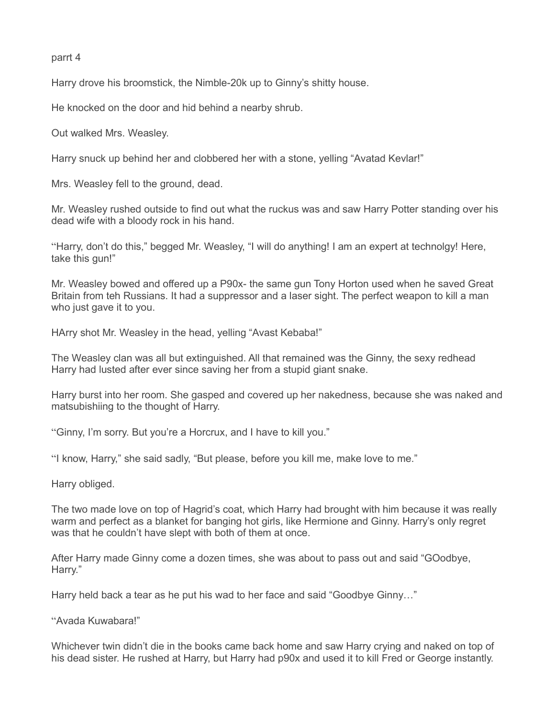parrt 4

Harry drove his broomstick, the Nimble-20k up to Ginny's shitty house.

He knocked on the door and hid behind a nearby shrub.

Out walked Mrs. Weasley.

Harry snuck up behind her and clobbered her with a stone, yelling "Avatad Kevlar!"

Mrs. Weasley fell to the ground, dead.

Mr. Weasley rushed outside to find out what the ruckus was and saw Harry Potter standing over his dead wife with a bloody rock in his hand.

"Harry, don't do this," begged Mr. Weasley, "I will do anything! I am an expert at technolgy! Here, take this gun!"

Mr. Weasley bowed and offered up a P90x- the same gun Tony Horton used when he saved Great Britain from teh Russians. It had a suppressor and a laser sight. The perfect weapon to kill a man who just gave it to you.

HArry shot Mr. Weasley in the head, yelling "Avast Kebaba!"

The Weasley clan was all but extinguished. All that remained was the Ginny, the sexy redhead Harry had lusted after ever since saving her from a stupid giant snake.

Harry burst into her room. She gasped and covered up her nakedness, because she was naked and matsubishiing to the thought of Harry.

"Ginny, I'm sorry. But you're a Horcrux, and I have to kill you."

"I know, Harry," she said sadly, "But please, before you kill me, make love to me."

Harry obliged.

The two made love on top of Hagrid's coat, which Harry had brought with him because it was really warm and perfect as a blanket for banging hot girls, like Hermione and Ginny. Harry's only regret was that he couldn't have slept with both of them at once.

After Harry made Ginny come a dozen times, she was about to pass out and said "GOodbye, Harry."

Harry held back a tear as he put his wad to her face and said "Goodbye Ginny…"

"Avada Kuwabara!"

Whichever twin didn't die in the books came back home and saw Harry crying and naked on top of his dead sister. He rushed at Harry, but Harry had p90x and used it to kill Fred or George instantly.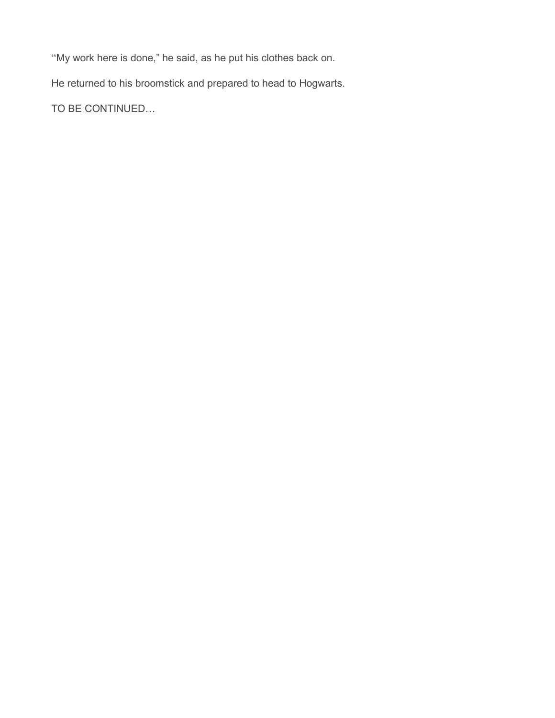"My work here is done," he said, as he put his clothes back on.

He returned to his broomstick and prepared to head to Hogwarts.

TO BE CONTINUED…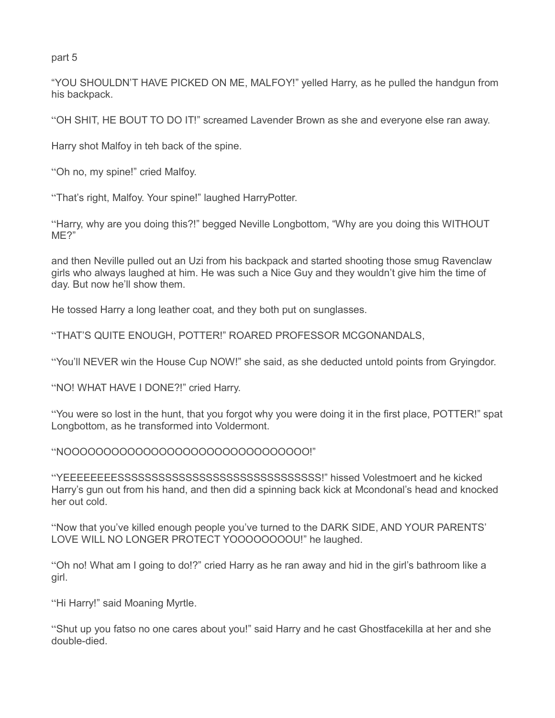part 5

"YOU SHOULDN'T HAVE PICKED ON ME, MALFOY!" yelled Harry, as he pulled the handgun from his backpack.

"OH SHIT, HE BOUT TO DO IT!" screamed Lavender Brown as she and everyone else ran away.

Harry shot Malfoy in teh back of the spine.

"Oh no, my spine!" cried Malfoy.

"That's right, Malfoy. Your spine!" laughed HarryPotter.

"Harry, why are you doing this?!" begged Neville Longbottom, "Why are you doing this WITHOUT ME?"

and then Neville pulled out an Uzi from his backpack and started shooting those smug Ravenclaw girls who always laughed at him. He was such a Nice Guy and they wouldn't give him the time of day. But now he'll show them.

He tossed Harry a long leather coat, and they both put on sunglasses.

"THAT'S QUITE ENOUGH, POTTER!" ROARED PROFESSOR MCGONANDALS,

"You'll NEVER win the House Cup NOW!" she said, as she deducted untold points from Gryingdor.

"NO! WHAT HAVE I DONE?!" cried Harry.

"You were so lost in the hunt, that you forgot why you were doing it in the first place, POTTER!" spat Longbottom, as he transformed into Voldermont.

"NOOOOOOOOOOOOOOOOOOOOOOOOOOOOOOO!"

"YEEEEEEEESSSSSSSSSSSSSSSSSSSSSSSSSSSSSS!" hissed Volestmoert and he kicked Harry's gun out from his hand, and then did a spinning back kick at Mcondonal's head and knocked her out cold.

"Now that you've killed enough people you've turned to the DARK SIDE, AND YOUR PARENTS' LOVE WILL NO LONGER PROTECT YOOOOOOOOU!" he laughed.

"Oh no! What am I going to do!?" cried Harry as he ran away and hid in the girl's bathroom like a girl.

"Hi Harry!" said Moaning Myrtle.

"Shut up you fatso no one cares about you!" said Harry and he cast Ghostfacekilla at her and she double-died.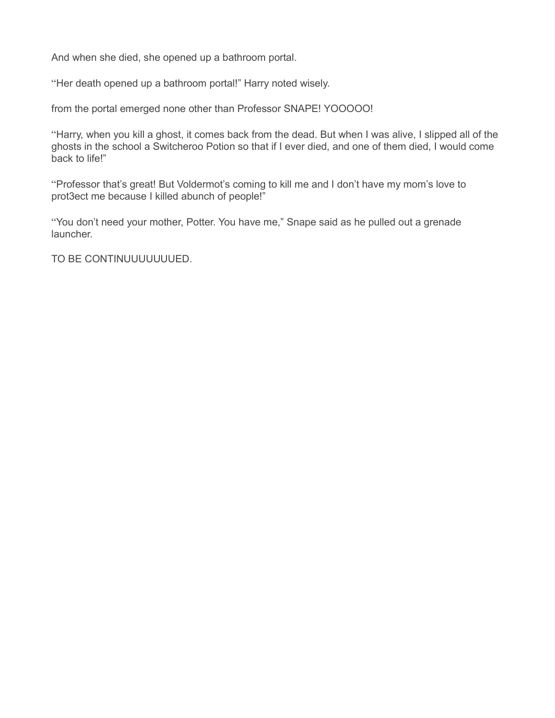And when she died, she opened up a bathroom portal.

"Her death opened up a bathroom portal!" Harry noted wisely.

from the portal emerged none other than Professor SNAPE! YOOOOO!

"Harry, when you kill a ghost, it comes back from the dead. But when I was alive, I slipped all of the ghosts in the school a Switcheroo Potion so that if I ever died, and one of them died, I would come back to life!"

"Professor that's great! But Voldermot's coming to kill me and I don't have my mom's love to prot3ect me because I killed abunch of people!"

"You don't need your mother, Potter. You have me," Snape said as he pulled out a grenade launcher.

TO BE CONTINUUUUUUUED.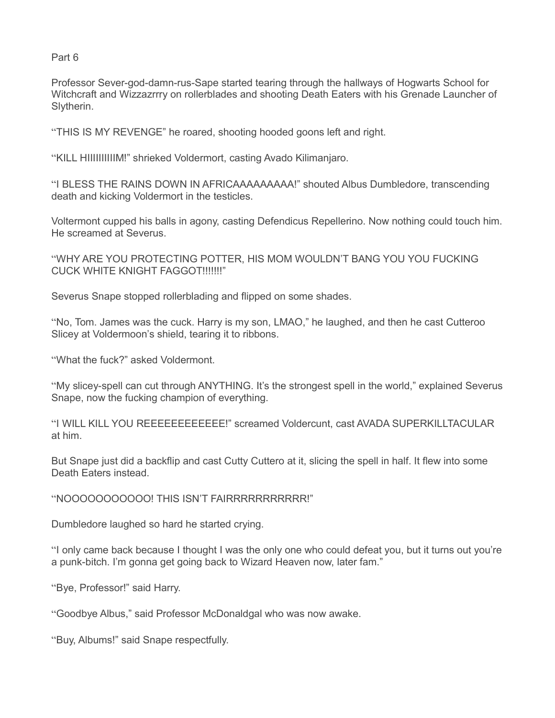Part 6

Professor Sever-god-damn-rus-Sape started tearing through the hallways of Hogwarts School for Witchcraft and Wizzazrrry on rollerblades and shooting Death Eaters with his Grenade Launcher of Slytherin.

"THIS IS MY REVENGE" he roared, shooting hooded goons left and right.

"KILL HIIIIIIIIIIM!" shrieked Voldermort, casting Avado Kilimanjaro.

"I BLESS THE RAINS DOWN IN AFRICAAAAAAAAA!" shouted Albus Dumbledore, transcending death and kicking Voldermort in the testicles.

Voltermont cupped his balls in agony, casting Defendicus Repellerino. Now nothing could touch him. He screamed at Severus.

"WHY ARE YOU PROTECTING POTTER, HIS MOM WOULDN'T BANG YOU YOU FUCKING CUCK WHITE KNIGHT FAGGOT!!!!!!!"

Severus Snape stopped rollerblading and flipped on some shades.

"No, Tom. James was the cuck. Harry is my son, LMAO," he laughed, and then he cast Cutteroo Slicey at Voldermoon's shield, tearing it to ribbons.

"What the fuck?" asked Voldermont.

"My slicey-spell can cut through ANYTHING. It's the strongest spell in the world," explained Severus Snape, now the fucking champion of everything.

"I WILL KILL YOU REEEEEEEEEEE!" screamed Voldercunt, cast AVADA SUPERKILLTACULAR at him.

But Snape just did a backflip and cast Cutty Cuttero at it, slicing the spell in half. It flew into some Death Eaters instead.

"NOOOOOOOOOOO! THIS ISN'T FAIRRRRRRRRRRR!"

Dumbledore laughed so hard he started crying.

"I only came back because I thought I was the only one who could defeat you, but it turns out you're a punk-bitch. I'm gonna get going back to Wizard Heaven now, later fam."

"Bye, Professor!" said Harry.

"Goodbye Albus," said Professor McDonaldgal who was now awake.

"Buy, Albums!" said Snape respectfully.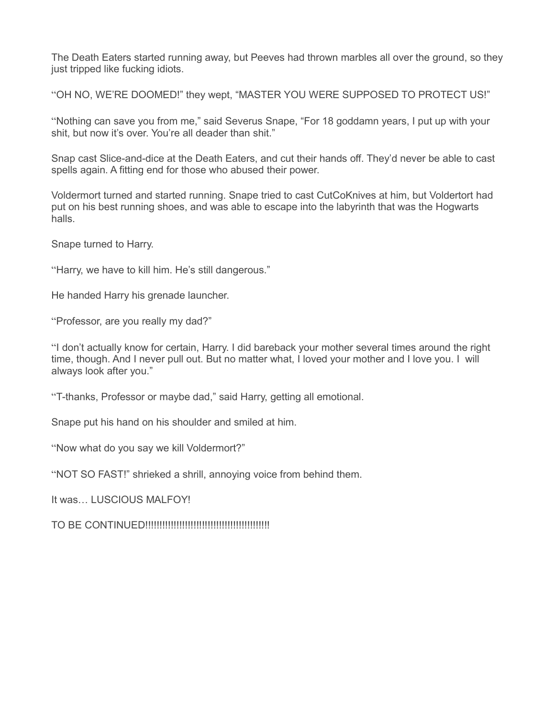The Death Eaters started running away, but Peeves had thrown marbles all over the ground, so they just tripped like fucking idiots.

"OH NO, WE'RE DOOMED!" they wept, "MASTER YOU WERE SUPPOSED TO PROTECT US!"

"Nothing can save you from me," said Severus Snape, "For 18 goddamn years, I put up with your shit, but now it's over. You're all deader than shit."

Snap cast Slice-and-dice at the Death Eaters, and cut their hands off. They'd never be able to cast spells again. A fitting end for those who abused their power.

Voldermort turned and started running. Snape tried to cast CutCoKnives at him, but Voldertort had put on his best running shoes, and was able to escape into the labyrinth that was the Hogwarts halls.

Snape turned to Harry.

"Harry, we have to kill him. He's still dangerous."

He handed Harry his grenade launcher.

"Professor, are you really my dad?"

"I don't actually know for certain, Harry. I did bareback your mother several times around the right time, though. And I never pull out. But no matter what, I loved your mother and I love you. I will always look after you."

"T-thanks, Professor or maybe dad," said Harry, getting all emotional.

Snape put his hand on his shoulder and smiled at him.

"Now what do you say we kill Voldermort?"

"NOT SO FAST!" shrieked a shrill, annoying voice from behind them.

It was… LUSCIOUS MALFOY!

TO BE CONTINUED!!!!!!!!!!!!!!!!!!!!!!!!!!!!!!!!!!!!!!!!!!!!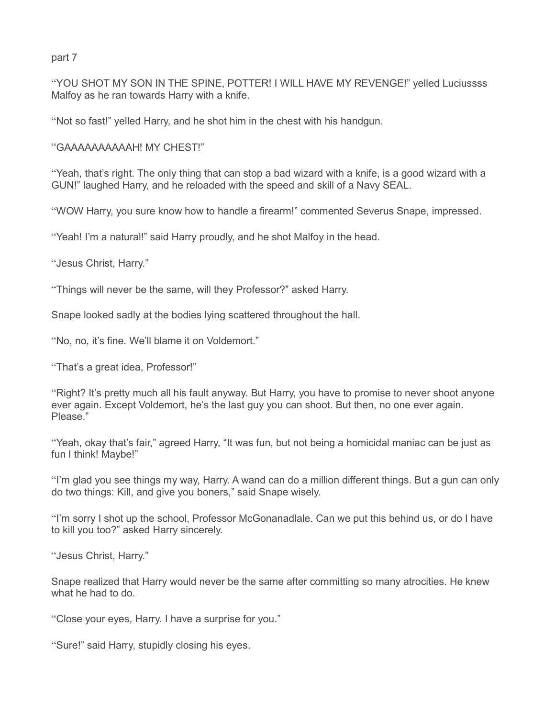part 7

"YOU SHOT MY SON IN THE SPINE, POTTER! I WILL HAVE MY REVENGE!" yelled Luciussss Malfoy as he ran towards Harry with a knife.

"Not so fast!" yelled Harry, and he shot him in the chest with his handgun.

"GAAAAAAAAAAH! MY CHEST!"

"Yeah, that's right. The only thing that can stop a bad wizard with a knife, is a good wizard with a GUN!" laughed Harry, and he reloaded with the speed and skill of a Navy SEAL.

"WOW Harry, you sure know how to handle a firearm!" commented Severus Snape, impressed.

"Yeah! I'm a natural!" said Harry proudly, and he shot Malfoy in the head.

"Jesus Christ, Harry."

"Things will never be the same, will they Professor?" asked Harry.

Snape looked sadly at the bodies lying scattered throughout the hall.

"No, no, it's fine. We'll blame it on Voldemort."

"That's a great idea, Professor!"

"Right? It's pretty much all his fault anyway. But Harry, you have to promise to never shoot anyone ever again. Except Voldemort, he's the last guy you can shoot. But then, no one ever again. Please."

"Yeah, okay that's fair," agreed Harry, "It was fun, but not being a homicidal maniac can be just as fun I think! Maybe!"

"I'm glad you see things my way, Harry. A wand can do a million different things. But a gun can only do two things: Kill, and give you boners," said Snape wisely.

"I'm sorry I shot up the school, Professor McGonanadlale. Can we put this behind us, or do I have to kill you too?" asked Harry sincerely.

"Jesus Christ, Harry."

Snape realized that Harry would never be the same after committing so many atrocities. He knew what he had to do.

"Close your eyes, Harry. I have a surprise for you."

"Sure!" said Harry, stupidly closing his eyes.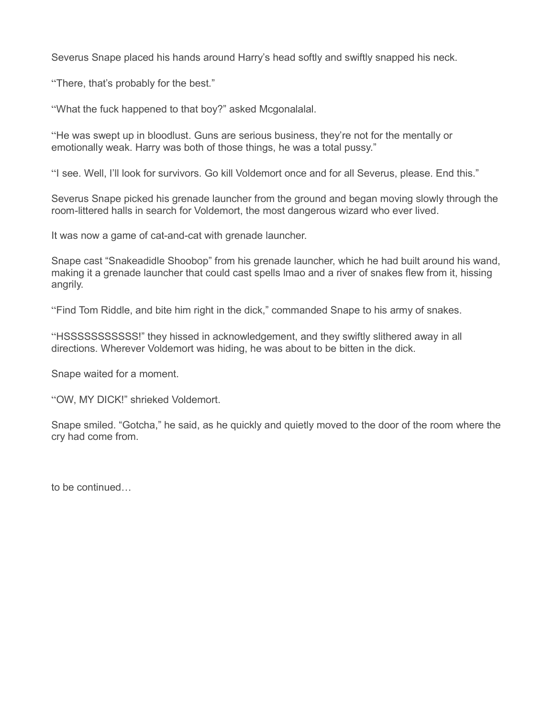Severus Snape placed his hands around Harry's head softly and swiftly snapped his neck.

"There, that's probably for the best."

"What the fuck happened to that boy?" asked Mcgonalalal.

"He was swept up in bloodlust. Guns are serious business, they're not for the mentally or emotionally weak. Harry was both of those things, he was a total pussy."

"I see. Well, I'll look for survivors. Go kill Voldemort once and for all Severus, please. End this."

Severus Snape picked his grenade launcher from the ground and began moving slowly through the room-littered halls in search for Voldemort, the most dangerous wizard who ever lived.

It was now a game of cat-and-cat with grenade launcher.

Snape cast "Snakeadidle Shoobop" from his grenade launcher, which he had built around his wand, making it a grenade launcher that could cast spells lmao and a river of snakes flew from it, hissing angrily.

"Find Tom Riddle, and bite him right in the dick," commanded Snape to his army of snakes.

"HSSSSSSSSSSS!" they hissed in acknowledgement, and they swiftly slithered away in all directions. Wherever Voldemort was hiding, he was about to be bitten in the dick.

Snape waited for a moment.

"OW, MY DICK!" shrieked Voldemort.

Snape smiled. "Gotcha," he said, as he quickly and quietly moved to the door of the room where the cry had come from.

to be continued…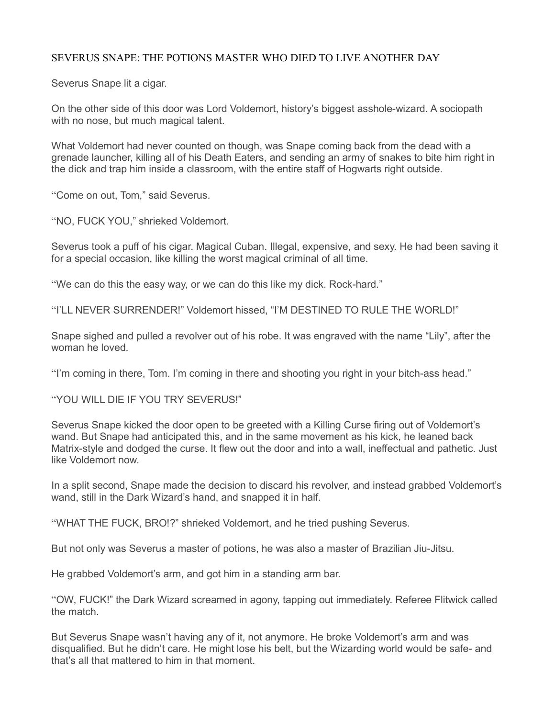## SEVERUS SNAPE: THE POTIONS MASTER WHO DIED TO LIVE ANOTHER DAY

Severus Snape lit a cigar.

On the other side of this door was Lord Voldemort, history's biggest asshole-wizard. A sociopath with no nose, but much magical talent.

What Voldemort had never counted on though, was Snape coming back from the dead with a grenade launcher, killing all of his Death Eaters, and sending an army of snakes to bite him right in the dick and trap him inside a classroom, with the entire staff of Hogwarts right outside.

"Come on out, Tom," said Severus.

"NO, FUCK YOU," shrieked Voldemort.

Severus took a puff of his cigar. Magical Cuban. Illegal, expensive, and sexy. He had been saving it for a special occasion, like killing the worst magical criminal of all time.

"We can do this the easy way, or we can do this like my dick. Rock-hard."

"I'LL NEVER SURRENDER!" Voldemort hissed, "I'M DESTINED TO RULE THE WORLD!"

Snape sighed and pulled a revolver out of his robe. It was engraved with the name "Lily", after the woman he loved.

"I'm coming in there, Tom. I'm coming in there and shooting you right in your bitch-ass head."

"YOU WILL DIE IF YOU TRY SEVERUS!"

Severus Snape kicked the door open to be greeted with a Killing Curse firing out of Voldemort's wand. But Snape had anticipated this, and in the same movement as his kick, he leaned back Matrix-style and dodged the curse. It flew out the door and into a wall, ineffectual and pathetic. Just like Voldemort now.

In a split second, Snape made the decision to discard his revolver, and instead grabbed Voldemort's wand, still in the Dark Wizard's hand, and snapped it in half.

"WHAT THE FUCK, BRO!?" shrieked Voldemort, and he tried pushing Severus.

But not only was Severus a master of potions, he was also a master of Brazilian Jiu-Jitsu.

He grabbed Voldemort's arm, and got him in a standing arm bar.

"OW, FUCK!" the Dark Wizard screamed in agony, tapping out immediately. Referee Flitwick called the match.

But Severus Snape wasn't having any of it, not anymore. He broke Voldemort's arm and was disqualified. But he didn't care. He might lose his belt, but the Wizarding world would be safe- and that's all that mattered to him in that moment.